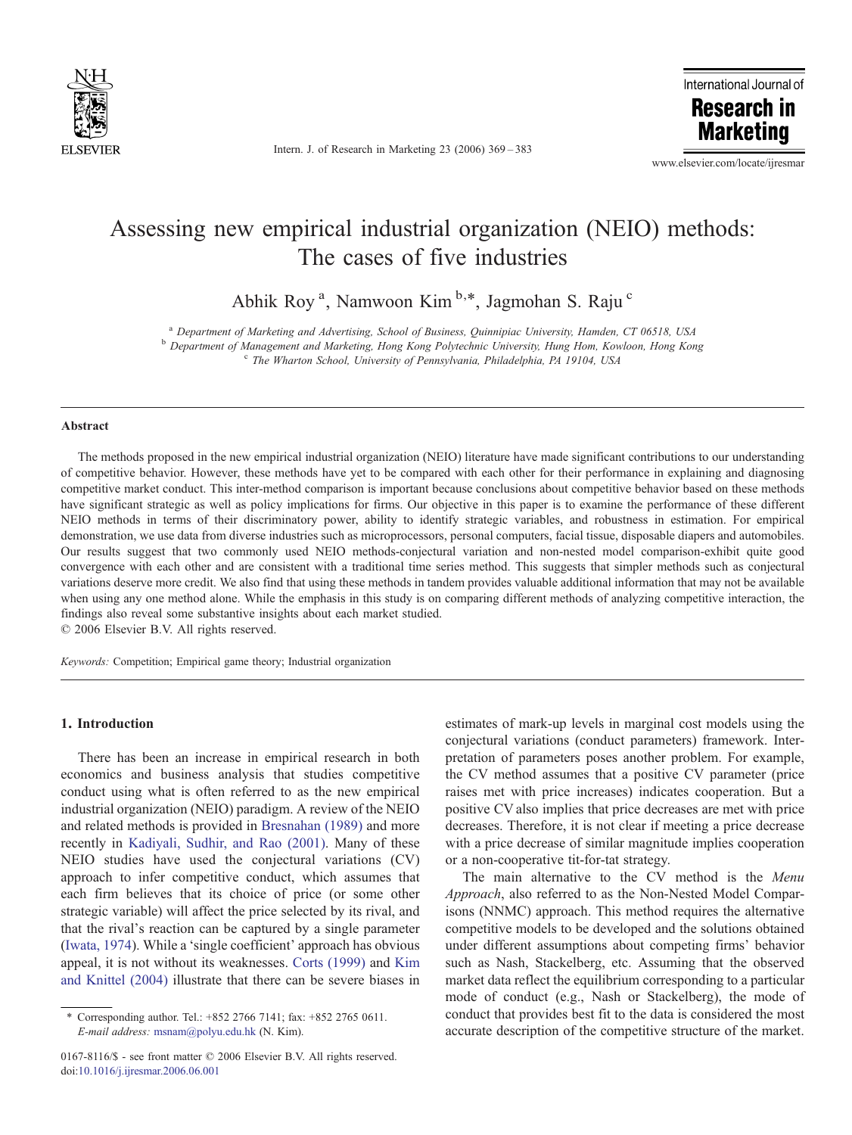

Intern. J. of Research in Marketing 23 (2006) 369–383

International Journal of **Research in** 

**Marketing** 

www.elsevier.com/locate/ijresmar

## Assessing new empirical industrial organization (NEIO) methods: The cases of five industries

Abhik Roy<sup>a</sup>, Namwoon Kim<sup>b,\*</sup>, Jagmohan S. Raju<sup>c</sup>

<sup>a</sup> Department of Marketing and Advertising, School of Business, Quinnipiac University, Hamden, CT 06518, USA<br><sup>b</sup> Department of Management and Marketing, Hong Kong Polytechnic University, Hung Hom, Kowloon, Hong Kong<br><sup>c</sup>

#### **Abstract**

The methods proposed in the new empirical industrial organization (NEIO) literature have made significant contributions to our understanding of competitive behavior. However, these methods have yet to be compared with each other for their performance in explaining and diagnosing competitive market conduct. This inter-method comparison is important because conclusions about competitive behavior based on these methods have significant strategic as well as policy implications for firms. Our objective in this paper is to examine the performance of these different NEIO methods in terms of their discriminatory power, ability to identify strategic variables, and robustness in estimation. For empirical demonstration, we use data from diverse industries such as microprocessors, personal computers, facial tissue, disposable diapers and automobiles. Our results suggest that two commonly used NEIO methods-conjectural variation and non-nested model comparison-exhibit quite good convergence with each other and are consistent with a traditional time series method. This suggests that simpler methods such as conjectural variations deserve more credit. We also find that using these methods in tandem provides valuable additional information that may not be available when using any one method alone. While the emphasis in this study is on comparing different methods of analyzing competitive interaction, the findings also reveal some substantive insights about each market studied.

© 2006 Elsevier B.V. All rights reserved.

Keywords: Competition; Empirical game theory; Industrial organization

### 1. Introduction

There has been an increase in empirical research in both economics and business analysis that studies competitive conduct using what is often referred to as the new empirical industrial organization (NEIO) paradigm. A review of the NEIO and related methods is provided in [Bresnahan \(1989\)](#page--1-0) and more recently in [Kadiyali, Sudhir, and Rao \(2001\).](#page--1-0) Many of these NEIO studies have used the conjectural variations (CV) approach to infer competitive conduct, which assumes that each firm believes that its choice of price (or some other strategic variable) will affect the price selected by its rival, and that the rival's reaction can be captured by a single parameter ([Iwata, 1974](#page--1-0)). While a 'single coefficient' approach has obvious appeal, it is not without its weaknesses. [Corts \(1999\)](#page--1-0) and [Kim](#page--1-0) [and Knittel \(2004\)](#page--1-0) illustrate that there can be severe biases in estimates of mark-up levels in marginal cost models using the conjectural variations (conduct parameters) framework. Interpretation of parameters poses another problem. For example, the CV method assumes that a positive CV parameter (price raises met with price increases) indicates cooperation. But a positive CV also implies that price decreases are met with price decreases. Therefore, it is not clear if meeting a price decrease with a price decrease of similar magnitude implies cooperation or a non-cooperative tit-for-tat strategy.

The main alternative to the CV method is the Menu Approach, also referred to as the Non-Nested Model Comparisons (NNMC) approach. This method requires the alternative competitive models to be developed and the solutions obtained under different assumptions about competing firms' behavior such as Nash, Stackelberg, etc. Assuming that the observed market data reflect the equilibrium corresponding to a particular mode of conduct (e.g., Nash or Stackelberg), the mode of conduct that provides best fit to the data is considered the most accurate description of the competitive structure of the market.

<sup>⁎</sup> Corresponding author. Tel.: +852 2766 7141; fax: +852 2765 0611. E-mail address: [msnam@polyu.edu.hk](mailto:msnam@polyu.edu.hk) (N. Kim).

<sup>0167-8116/\$ -</sup> see front matter © 2006 Elsevier B.V. All rights reserved. doi:[10.1016/j.ijresmar.2006.06.001](http://dx.doi.org/10.1016/j.ijresmar.2006.06.001)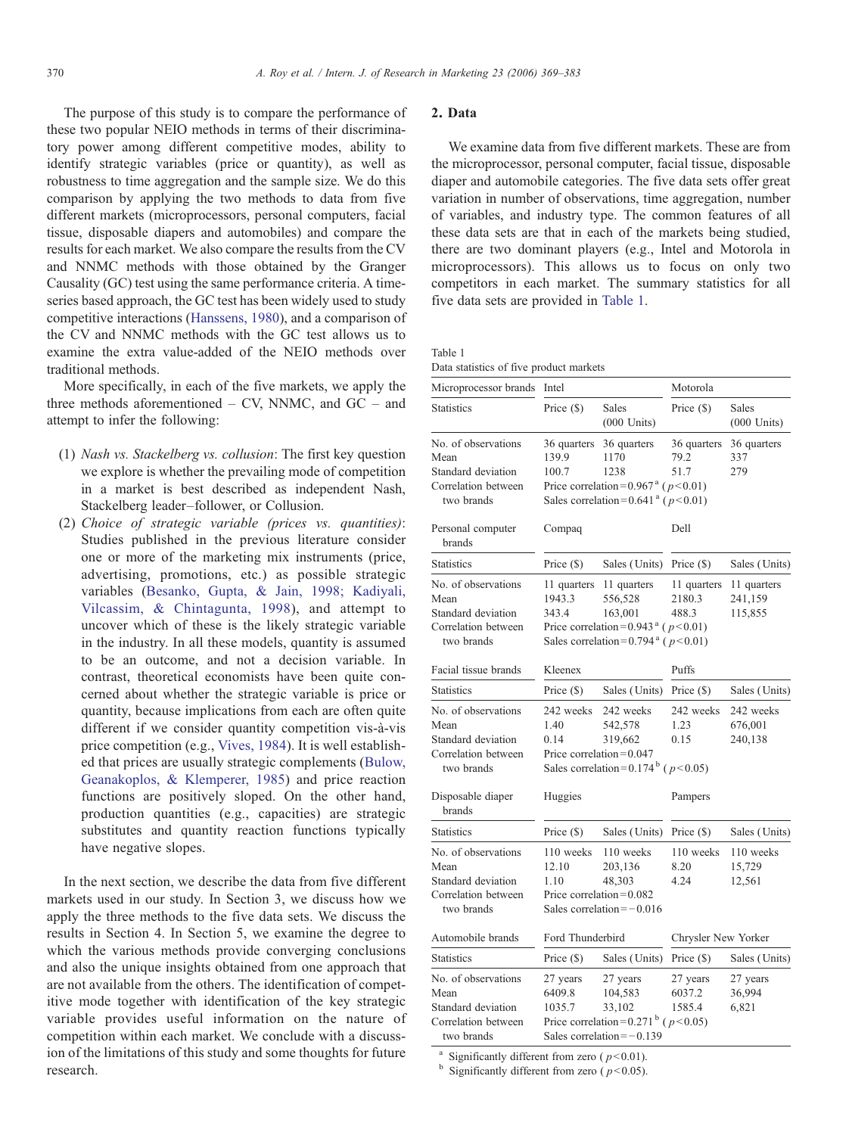The purpose of this study is to compare the performance of these two popular NEIO methods in terms of their discriminatory power among different competitive modes, ability to identify strategic variables (price or quantity), as well as robustness to time aggregation and the sample size. We do this comparison by applying the two methods to data from five different markets (microprocessors, personal computers, facial tissue, disposable diapers and automobiles) and compare the results for each market. We also compare the results from the CV and NNMC methods with those obtained by the Granger Causality (GC) test using the same performance criteria. A timeseries based approach, the GC test has been widely used to study competitive interactions [\(Hanssens, 1980](#page--1-0)), and a comparison of the CV and NNMC methods with the GC test allows us to examine the extra value-added of the NEIO methods over traditional methods.

More specifically, in each of the five markets, we apply the three methods aforementioned – CV, NNMC, and GC – and attempt to infer the following:

- (1) Nash vs. Stackelberg vs. collusion: The first key question we explore is whether the prevailing mode of competition in a market is best described as independent Nash, Stackelberg leader–follower, or Collusion.
- (2) Choice of strategic variable (prices vs. quantities): Studies published in the previous literature consider one or more of the marketing mix instruments (price, advertising, promotions, etc.) as possible strategic variables [\(Besanko, Gupta, & Jain, 1998; Kadiyali,](#page--1-0) [Vilcassim, & Chintagunta, 1998\)](#page--1-0), and attempt to uncover which of these is the likely strategic variable in the industry. In all these models, quantity is assumed to be an outcome, and not a decision variable. In contrast, theoretical economists have been quite concerned about whether the strategic variable is price or quantity, because implications from each are often quite different if we consider quantity competition vis-à-vis price competition (e.g., [Vives, 1984](#page--1-0)). It is well established that prices are usually strategic complements ([Bulow,](#page--1-0) [Geanakoplos, & Klemperer, 1985](#page--1-0)) and price reaction functions are positively sloped. On the other hand, production quantities (e.g., capacities) are strategic substitutes and quantity reaction functions typically have negative slopes.

In the next section, we describe the data from five different markets used in our study. In Section 3, we discuss how we apply the three methods to the five data sets. We discuss the results in Section 4. In Section 5, we examine the degree to which the various methods provide converging conclusions and also the unique insights obtained from one approach that are not available from the others. The identification of competitive mode together with identification of the key strategic variable provides useful information on the nature of competition within each market. We conclude with a discussion of the limitations of this study and some thoughts for future research.

#### 2. Data

We examine data from five different markets. These are from the microprocessor, personal computer, facial tissue, disposable diaper and automobile categories. The five data sets offer great variation in number of observations, time aggregation, number of variables, and industry type. The common features of all these data sets are that in each of the markets being studied, there are two dominant players (e.g., Intel and Motorola in microprocessors). This allows us to focus on only two competitors in each market. The summary statistics for all five data sets are provided in Table 1.

Table 1 Data statistics of five product markets

| Microprocessor brands                                                                  | Intel                                                                                                                                                                                                                                                   |                                                                                                                                            | Motorola                     |                                 |
|----------------------------------------------------------------------------------------|---------------------------------------------------------------------------------------------------------------------------------------------------------------------------------------------------------------------------------------------------------|--------------------------------------------------------------------------------------------------------------------------------------------|------------------------------|---------------------------------|
| <b>Statistics</b>                                                                      | Price $(\$)$                                                                                                                                                                                                                                            | Sales<br>$(000$ Units)                                                                                                                     | Price $(S)$                  | Sales<br>$(000$ Units)          |
| No. of observations<br>Mean<br>Standard deviation<br>Correlation between<br>two brands | 36 quarters<br>139.9<br>100.7                                                                                                                                                                                                                           | 36 quarters<br>1170<br>1238<br>Price correlation= $0.967$ <sup>a</sup> ( $p < 0.01$ )<br>Sales correlation=0.641 <sup>a</sup> ( $p$ <0.01) | 36 quarters<br>79.2<br>51.7  | 36 quarters<br>337<br>279       |
| Personal computer<br>brands                                                            | Compaq                                                                                                                                                                                                                                                  |                                                                                                                                            | Dell                         |                                 |
| <b>Statistics</b>                                                                      | Price $(\$)$                                                                                                                                                                                                                                            | Sales (Units)                                                                                                                              | Price (\$)                   | Sales (Units)                   |
| No. of observations<br>Mean<br>Standard deviation<br>Correlation between<br>two brands | 11 quarters<br>11 quarters<br>11 quarters<br>11 quarters<br>1943.3<br>556,528<br>2180.3<br>241,159<br>343.4<br>163,001<br>488.3<br>115,855<br>Price correlation=0.943 <sup>a</sup> ( $p < 0.01$ )<br>Sales correlation=0.794 <sup>ª</sup> ( $p$ < 0.01) |                                                                                                                                            |                              |                                 |
| Facial tissue brands                                                                   | Kleenex                                                                                                                                                                                                                                                 |                                                                                                                                            | Puffs                        |                                 |
| <b>Statistics</b>                                                                      | Price $(\$)$                                                                                                                                                                                                                                            | Sales (Units)                                                                                                                              | Price $(\$)$                 | Sales (Units)                   |
| No. of observations<br>Mean<br>Standard deviation<br>Correlation between<br>two brands | 242 weeks<br>1.40<br>0.14                                                                                                                                                                                                                               | 242 weeks<br>542,578<br>319,662<br>Price correlation= $0.047$<br>Sales correlation=0.174 <sup>b</sup> ( $p$ <0.05)                         | 242 weeks<br>1.23<br>0.15    | 242 weeks<br>676,001<br>240,138 |
| Disposable diaper<br>brands                                                            | Huggies                                                                                                                                                                                                                                                 |                                                                                                                                            | Pampers                      |                                 |
| <b>Statistics</b>                                                                      | Price $(\$)$                                                                                                                                                                                                                                            | Sales (Units)                                                                                                                              | Price (\$)                   | Sales (Units)                   |
| No. of observations<br>Mean<br>Standard deviation<br>Correlation between<br>two brands | 110 weeks<br>12.10<br>1.10                                                                                                                                                                                                                              | 110 weeks<br>203,136<br>48,303<br>Price correlation=0.082<br>Sales correlation= $-0.016$                                                   | 110 weeks<br>8.20<br>4.24    | 110 weeks<br>15,729<br>12,561   |
| Automobile brands                                                                      | Ford Thunderbird                                                                                                                                                                                                                                        |                                                                                                                                            | Chrysler New Yorker          |                                 |
| <b>Statistics</b>                                                                      | Price $(\$)$                                                                                                                                                                                                                                            | Sales (Units)                                                                                                                              | Price $(\$)$                 | Sales (Units)                   |
| No. of observations<br>Mean<br>Standard deviation<br>Correlation between<br>two brands | 27 years<br>6409.8<br>1035.7                                                                                                                                                                                                                            | 27 years<br>104,583<br>33,102<br>Price correlation=0.271 <sup>b</sup> ( $p$ <0.05)<br>Sales correlation= $-0.139$                          | 27 years<br>6037.2<br>1585.4 | 27 years<br>36,994<br>6,821     |

<sup>a</sup> Significantly different from zero ( $p$ <0.01).<br><sup>b</sup> Significantly different from zero ( $p$ <0.05).